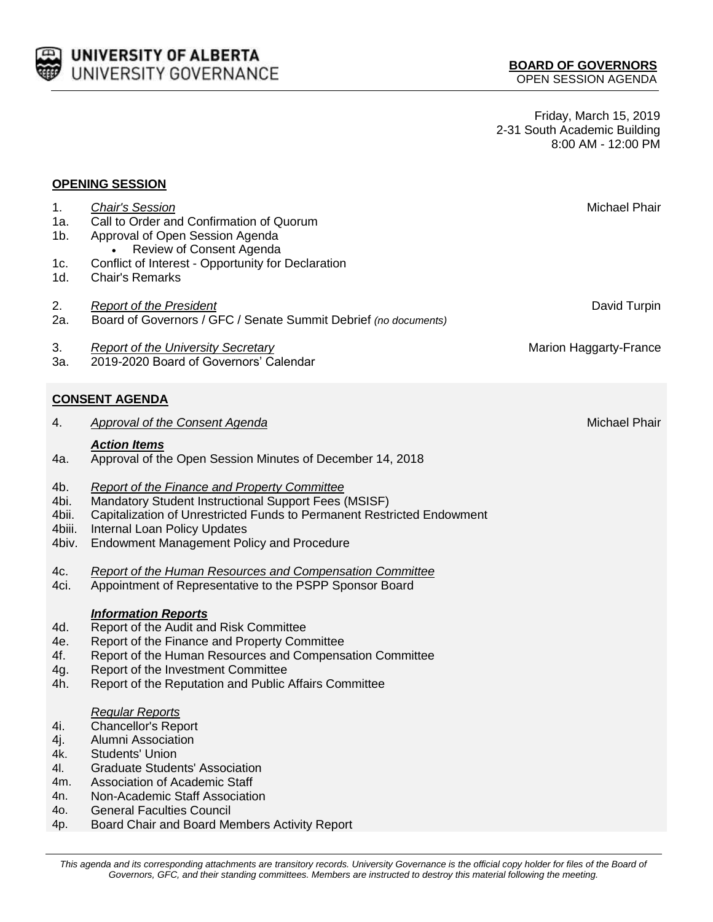

Friday, March 15, 2019 2-31 South Academic Building 8:00 AM - 12:00 PM

## **OPENING SESSION**

| 1.<br>1a.<br>1b.                                     | <b>Chair's Session</b><br>Call to Order and Confirmation of Quorum<br>Approval of Open Session Agenda                                                                                                                                                                                                        | Michael Phair          |
|------------------------------------------------------|--------------------------------------------------------------------------------------------------------------------------------------------------------------------------------------------------------------------------------------------------------------------------------------------------------------|------------------------|
| 1c.<br>1d.                                           | Review of Consent Agenda<br>Conflict of Interest - Opportunity for Declaration<br><b>Chair's Remarks</b>                                                                                                                                                                                                     |                        |
| 2.<br>2a.                                            | <b>Report of the President</b><br>Board of Governors / GFC / Senate Summit Debrief (no documents)                                                                                                                                                                                                            | David Turpin           |
| 3.<br>3а.                                            | <b>Report of the University Secretary</b><br>2019-2020 Board of Governors' Calendar                                                                                                                                                                                                                          | Marion Haggarty-France |
|                                                      | <b>CONSENT AGENDA</b>                                                                                                                                                                                                                                                                                        |                        |
| 4.                                                   | <b>Approval of the Consent Agenda</b>                                                                                                                                                                                                                                                                        | Michael Phair          |
| 4a.                                                  | <b>Action Items</b><br>Approval of the Open Session Minutes of December 14, 2018                                                                                                                                                                                                                             |                        |
| 4b.<br>4bi.<br>4bii.<br>4biii.<br>4biv.              | Report of the Finance and Property Committee<br>Mandatory Student Instructional Support Fees (MSISF)<br>Capitalization of Unrestricted Funds to Permanent Restricted Endowment<br>Internal Loan Policy Updates<br><b>Endowment Management Policy and Procedure</b>                                           |                        |
| 4c.<br>4ci.                                          | <b>Report of the Human Resources and Compensation Committee</b><br>Appointment of Representative to the PSPP Sponsor Board                                                                                                                                                                                   |                        |
| 4d.<br>4e.<br>4f.<br>4g.<br>4h.                      | <b>Information Reports</b><br>Report of the Audit and Risk Committee<br>Report of the Finance and Property Committee<br>Report of the Human Resources and Compensation Committee<br>Report of the Investment Committee<br>Report of the Reputation and Public Affairs Committee                              |                        |
| 4i.<br>4j.<br>4k.<br>4I.<br>4m.<br>4n.<br>40.<br>4p. | <b>Regular Reports</b><br><b>Chancellor's Report</b><br>Alumni Association<br><b>Students' Union</b><br><b>Graduate Students' Association</b><br><b>Association of Academic Staff</b><br>Non-Academic Staff Association<br><b>General Faculties Council</b><br>Board Chair and Board Members Activity Report |                        |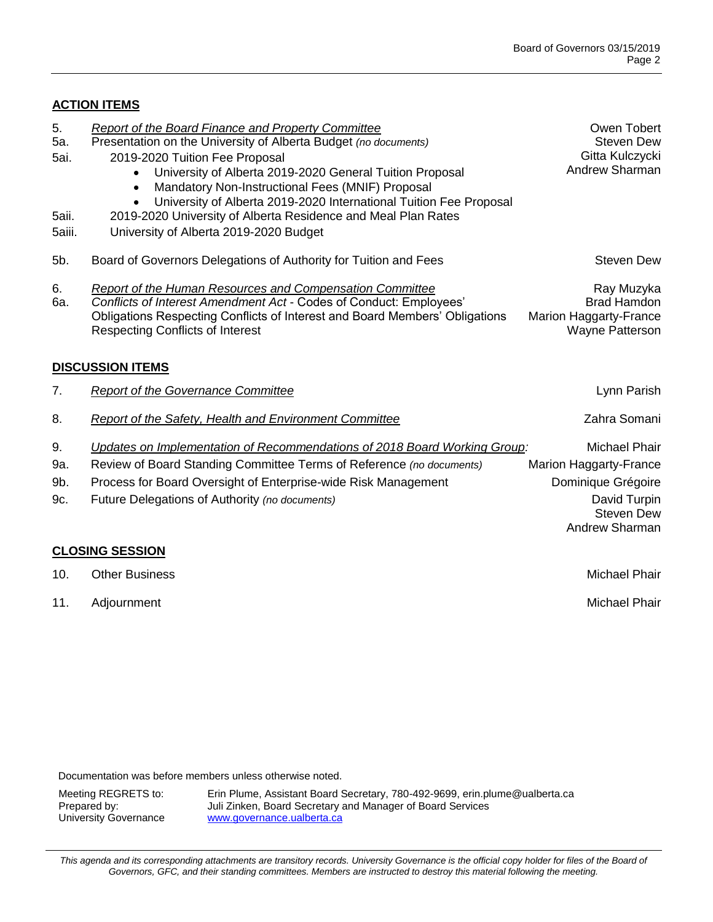## **ACTION ITEMS**

| 5.<br>5a.<br>5ai.<br>5aii.<br>5aiii. | Report of the Board Finance and Property Committee<br>Presentation on the University of Alberta Budget (no documents)<br>2019-2020 Tuition Fee Proposal<br>University of Alberta 2019-2020 General Tuition Proposal<br>$\bullet$<br>Mandatory Non-Instructional Fees (MNIF) Proposal<br>$\bullet$<br>University of Alberta 2019-2020 International Tuition Fee Proposal<br>$\bullet$<br>2019-2020 University of Alberta Residence and Meal Plan Rates<br>University of Alberta 2019-2020 Budget | Owen Tobert<br><b>Steven Dew</b><br>Gitta Kulczycki<br>Andrew Sharman                                                       |  |  |
|--------------------------------------|-------------------------------------------------------------------------------------------------------------------------------------------------------------------------------------------------------------------------------------------------------------------------------------------------------------------------------------------------------------------------------------------------------------------------------------------------------------------------------------------------|-----------------------------------------------------------------------------------------------------------------------------|--|--|
| 5b.                                  | Board of Governors Delegations of Authority for Tuition and Fees                                                                                                                                                                                                                                                                                                                                                                                                                                | <b>Steven Dew</b>                                                                                                           |  |  |
| 6.<br>6а.                            | Report of the Human Resources and Compensation Committee<br>Conflicts of Interest Amendment Act - Codes of Conduct: Employees'<br>Obligations Respecting Conflicts of Interest and Board Members' Obligations<br><b>Respecting Conflicts of Interest</b>                                                                                                                                                                                                                                        | Ray Muzyka<br><b>Brad Hamdon</b><br>Marion Haggarty-France<br>Wayne Patterson                                               |  |  |
| <b>DISCUSSION ITEMS</b>              |                                                                                                                                                                                                                                                                                                                                                                                                                                                                                                 |                                                                                                                             |  |  |
| 7.                                   | <b>Report of the Governance Committee</b>                                                                                                                                                                                                                                                                                                                                                                                                                                                       | Lynn Parish                                                                                                                 |  |  |
| 8.                                   | <b>Report of the Safety, Health and Environment Committee</b>                                                                                                                                                                                                                                                                                                                                                                                                                                   | Zahra Somani                                                                                                                |  |  |
| 9.<br>9a.<br>9b.<br>9c.              | Updates on Implementation of Recommendations of 2018 Board Working Group:<br>Review of Board Standing Committee Terms of Reference (no documents)<br>Process for Board Oversight of Enterprise-wide Risk Management<br>Future Delegations of Authority (no documents)                                                                                                                                                                                                                           | <b>Michael Phair</b><br>Marion Haggarty-France<br>Dominique Grégoire<br>David Turpin<br><b>Steven Dew</b><br>Andrew Sharman |  |  |
|                                      | <b>CLOSING SESSION</b>                                                                                                                                                                                                                                                                                                                                                                                                                                                                          |                                                                                                                             |  |  |
| 10.                                  | <b>Other Business</b>                                                                                                                                                                                                                                                                                                                                                                                                                                                                           | <b>Michael Phair</b>                                                                                                        |  |  |

11. Adjournment Michael Phair

Documentation was before members unless otherwise noted.

Meeting REGRETS to: Erin Plume, Assistant Board Secretary, 780-492-9699, erin.plume@ualberta.ca<br>Prepared by: Juli Zinken, Board Secretary and Manager of Board Services Juli Zinken, Board Secretary and Manager of Board Services University Governance [www.governance.ualberta.ca](http://www.uofaweb.ualberta.ca/governance/)

This agenda and its corresponding attachments are transitory records. University Governance is the official copy holder for files of the Board of *Governors, GFC, and their standing committees. Members are instructed to destroy this material following the meeting.*